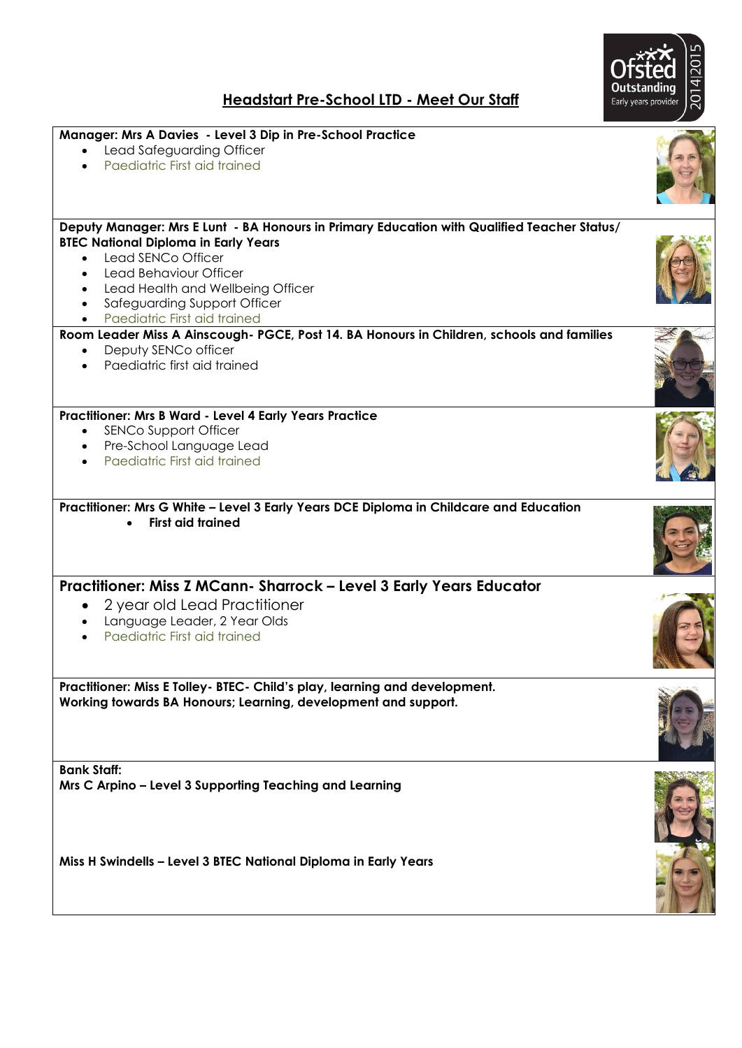

## **Headstart Pre-School LTD - Meet Our Staff**

| Manager: Mrs A Davies - Level 3 Dip in Pre-School Practice<br>Lead Safeguarding Officer<br>Paediatric First aid trained                                                                                                                                                                                                                |  |
|----------------------------------------------------------------------------------------------------------------------------------------------------------------------------------------------------------------------------------------------------------------------------------------------------------------------------------------|--|
| Deputy Manager: Mrs E Lunt - BA Honours in Primary Education with Qualified Teacher Status/<br><b>BTEC National Diploma in Early Years</b><br>Lead SENCo Officer<br>Lead Behaviour Officer<br>Lead Health and Wellbeing Officer<br>$\bullet$<br>Safeguarding Support Officer<br>$\bullet$<br>Paediatric First aid trained<br>$\bullet$ |  |
| Room Leader Miss A Ainscough- PGCE, Post 14. BA Honours in Children, schools and families<br>Deputy SENCo officer<br>$\bullet$<br>Paediatric first aid trained                                                                                                                                                                         |  |
| Practitioner: Mrs B Ward - Level 4 Early Years Practice<br><b>SENCo Support Officer</b><br>$\bullet$<br>Pre-School Language Lead<br>$\bullet$<br>Paediatric First aid trained                                                                                                                                                          |  |
| Practitioner: Mrs G White - Level 3 Early Years DCE Diploma in Childcare and Education<br><b>First aid trained</b><br>$\bullet$                                                                                                                                                                                                        |  |
| Practitioner: Miss Z MCann- Sharrock - Level 3 Early Years Educator<br>2 year old Lead Practitioner<br>Language Leader, 2 Year Olds<br>Paediatric First aid trained                                                                                                                                                                    |  |
| Practitioner: Miss E Tolley- BTEC- Child's play, learning and development.<br>Working towards BA Honours; Learning, development and support.                                                                                                                                                                                           |  |
| <b>Bank Staff:</b><br>Mrs C Arpino - Level 3 Supporting Teaching and Learning                                                                                                                                                                                                                                                          |  |
| Miss H Swindells - Level 3 BTEC National Diploma in Early Years                                                                                                                                                                                                                                                                        |  |